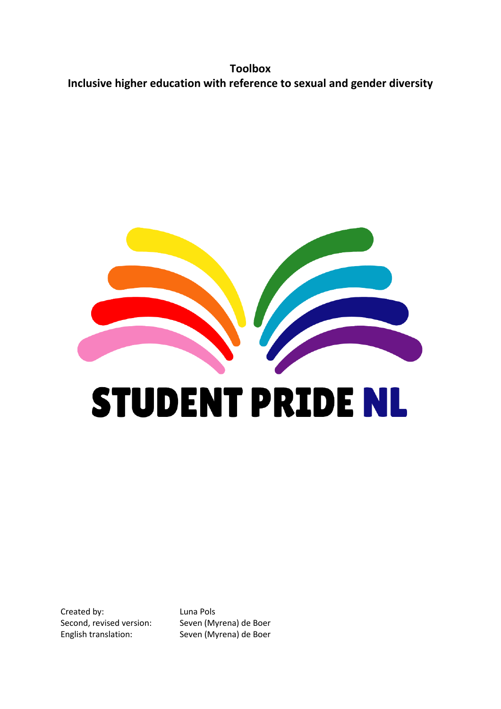**Toolbox Inclusive higher education with reference to sexual and gender diversity** 



Created by: Luna Pols

Second, revised version: Seven (Myrena) de Boer English translation: Seven (Myrena) de Boer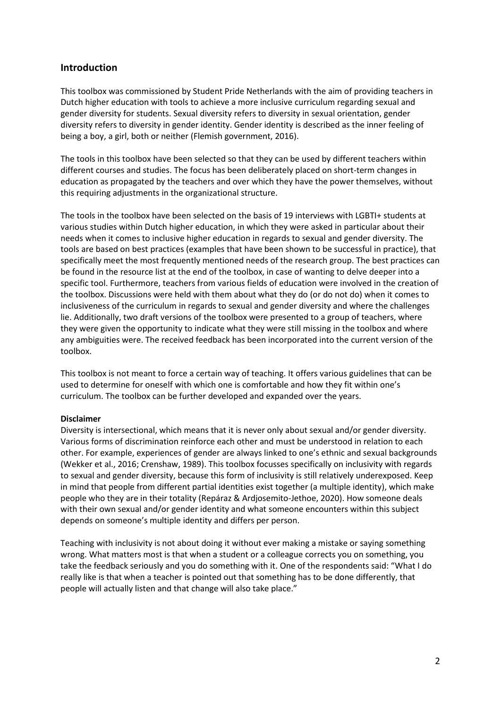# **Introduction**

This toolbox was commissioned by Student Pride Netherlands with the aim of providing teachers in Dutch higher education with tools to achieve a more inclusive curriculum regarding sexual and gender diversity for students. Sexual diversity refers to diversity in sexual orientation, gender diversity refers to diversity in gender identity. Gender identity is described as the inner feeling of being a boy, a girl, both or neither (Flemish government, 2016).

The tools in this toolbox have been selected so that they can be used by different teachers within different courses and studies. The focus has been deliberately placed on short-term changes in education as propagated by the teachers and over which they have the power themselves, without this requiring adjustments in the organizational structure.

The tools in the toolbox have been selected on the basis of 19 interviews with LGBTI+ students at various studies within Dutch higher education, in which they were asked in particular about their needs when it comes to inclusive higher education in regards to sexual and gender diversity. The tools are based on best practices (examples that have been shown to be successful in practice), that specifically meet the most frequently mentioned needs of the research group. The best practices can be found in the resource list at the end of the toolbox, in case of wanting to delve deeper into a specific tool. Furthermore, teachers from various fields of education were involved in the creation of the toolbox. Discussions were held with them about what they do (or do not do) when it comes to inclusiveness of the curriculum in regards to sexual and gender diversity and where the challenges lie. Additionally, two draft versions of the toolbox were presented to a group of teachers, where they were given the opportunity to indicate what they were still missing in the toolbox and where any ambiguities were. The received feedback has been incorporated into the current version of the toolbox.

This toolbox is not meant to force a certain way of teaching. It offers various guidelines that can be used to determine for oneself with which one is comfortable and how they fit within one's curriculum. The toolbox can be further developed and expanded over the years.

#### **Disclaimer**

Diversity is intersectional, which means that it is never only about sexual and/or gender diversity. Various forms of discrimination reinforce each other and must be understood in relation to each other. For example, experiences of gender are always linked to one's ethnic and sexual backgrounds (Wekker et al., 2016; Crenshaw, 1989). This toolbox focusses specifically on inclusivity with regards to sexual and gender diversity, because this form of inclusivity is still relatively underexposed. Keep in mind that people from different partial identities exist together (a multiple identity), which make people who they are in their totality (Repáraz & Ardjosemito-Jethoe, 2020). How someone deals with their own sexual and/or gender identity and what someone encounters within this subject depends on someone's multiple identity and differs per person.

Teaching with inclusivity is not about doing it without ever making a mistake or saying something wrong. What matters most is that when a student or a colleague corrects you on something, you take the feedback seriously and you do something with it. One of the respondents said: "What I do really like is that when a teacher is pointed out that something has to be done differently, that people will actually listen and that change will also take place."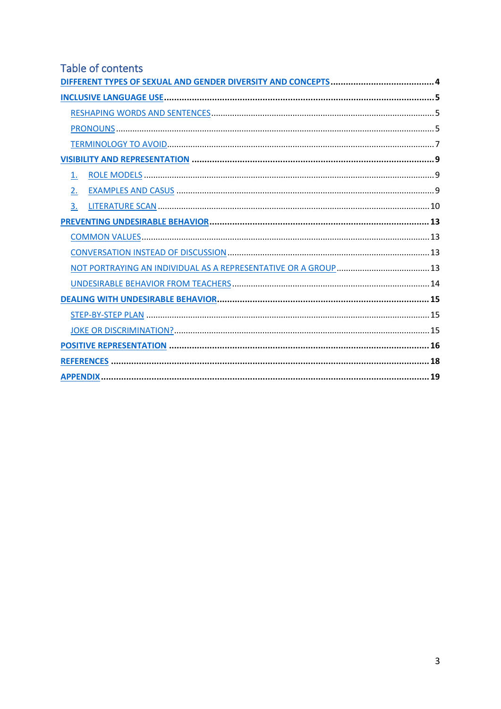# Table of contents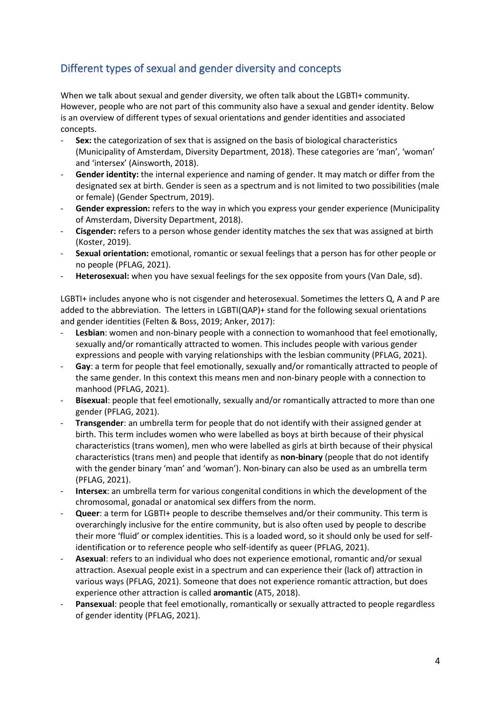# <span id="page-3-0"></span>Different types of sexual and gender diversity and concepts

When we talk about sexual and gender diversity, we often talk about the LGBTI+ community. However, people who are not part of this community also have a sexual and gender identity. Below is an overview of different types of sexual orientations and gender identities and associated concepts.

- Sex: the categorization of sex that is assigned on the basis of biological characteristics (Municipality of Amsterdam, Diversity Department, 2018). These categories are 'man', 'woman' and 'intersex' (Ainsworth, 2018).
- Gender identity: the internal experience and naming of gender. It may match or differ from the designated sex at birth. Gender is seen as a spectrum and is not limited to two possibilities (male or female) (Gender Spectrum, 2019).
- **Gender expression:** refers to the way in which you express your gender experience (Municipality of Amsterdam, Diversity Department, 2018).
- **Cisgender:** refers to a person whose gender identity matches the sex that was assigned at birth (Koster, 2019).
- **Sexual orientation:** emotional, romantic or sexual feelings that a person has for other people or no people (PFLAG, 2021).
- Heterosexual: when you have sexual feelings for the sex opposite from yours (Van Dale, sd).

LGBTI+ includes anyone who is not cisgender and heterosexual. Sometimes the letters Q, A and P are added to the abbreviation. The letters in LGBTI(QAP)+ stand for the following sexual orientations and gender identities (Felten & Boss, 2019; Anker, 2017):

- Lesbian: women and non-binary people with a connection to womanhood that feel emotionally, sexually and/or romantically attracted to women. This includes people with various gender expressions and people with varying relationships with the lesbian community (PFLAG, 2021).
- Gay: a term for people that feel emotionally, sexually and/or romantically attracted to people of the same gender. In this context this means men and non-binary people with a connection to manhood (PFLAG, 2021).
- **Bisexual**: people that feel emotionally, sexually and/or romantically attracted to more than one gender (PFLAG, 2021).
- **Transgender**: an umbrella term for people that do not identify with their assigned gender at birth. This term includes women who were labelled as boys at birth because of their physical characteristics (trans women), men who were labelled as girls at birth because of their physical characteristics (trans men) and people that identify as **non-binary** (people that do not identify with the gender binary 'man' and 'woman'). Non-binary can also be used as an umbrella term (PFLAG, 2021).
- **Intersex**: an umbrella term for various congenital conditions in which the development of the chromosomal, gonadal or anatomical sex differs from the norm.
- Queer: a term for LGBTI+ people to describe themselves and/or their community. This term is overarchingly inclusive for the entire community, but is also often used by people to describe their more 'fluid' or complex identities. This is a loaded word, so it should only be used for selfidentification or to reference people who self-identify as queer (PFLAG, 2021).
- **Asexual**: refers to an individual who does not experience emotional, romantic and/or sexual attraction. Asexual people exist in a spectrum and can experience their (lack of) attraction in various ways (PFLAG, 2021). Someone that does not experience romantic attraction, but does experience other attraction is called **aromantic** (AT5, 2018).
- Pansexual: people that feel emotionally, romantically or sexually attracted to people regardless of gender identity (PFLAG, 2021).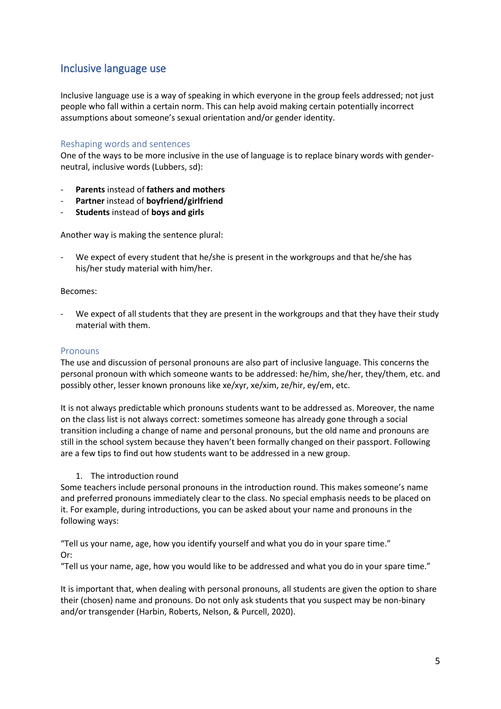# <span id="page-4-0"></span>Inclusive language use

Inclusive language use is a way of speaking in which everyone in the group feels addressed; not just people who fall within a certain norm. This can help avoid making certain potentially incorrect assumptions about someone's sexual orientation and/or gender identity.

### <span id="page-4-1"></span>Reshaping words and sentences

One of the ways to be more inclusive in the use of language is to replace binary words with genderneutral, inclusive words (Lubbers, sd):

- **Parents** instead of **fathers and mothers**
- **Partner** instead of **boyfriend/girlfriend**
- **Students** instead of **boys and girls**

Another way is making the sentence plural:

We expect of every student that he/she is present in the workgroups and that he/she has his/her study material with him/her.

#### Becomes:

We expect of all students that they are present in the workgroups and that they have their study material with them.

#### <span id="page-4-2"></span>Pronouns

The use and discussion of personal pronouns are also part of inclusive language. This concerns the personal pronoun with which someone wants to be addressed: he/him, she/her, they/them, etc. and possibly other, lesser known pronouns like xe/xyr, xe/xim, ze/hir, ey/em, etc.

It is not always predictable which pronouns students want to be addressed as. Moreover, the name on the class list is not always correct: sometimes someone has already gone through a social transition including a change of name and personal pronouns, but the old name and pronouns are still in the school system because they haven't been formally changed on their passport. Following are a few tips to find out how students want to be addressed in a new group.

#### 1. The introduction round

Some teachers include personal pronouns in the introduction round. This makes someone's name and preferred pronouns immediately clear to the class. No special emphasis needs to be placed on it. For example, during introductions, you can be asked about your name and pronouns in the following ways:

"Tell us your name, age, how you identify yourself and what you do in your spare time." Or:

"Tell us your name, age, how you would like to be addressed and what you do in your spare time."

It is important that, when dealing with personal pronouns, all students are given the option to share their (chosen) name and pronouns. Do not only ask students that you suspect may be non-binary and/or transgender (Harbin, Roberts, Nelson, & Purcell, 2020).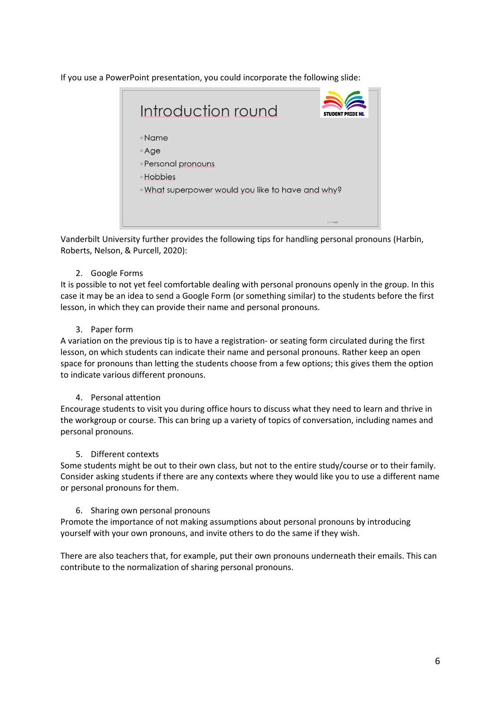If you use a PowerPoint presentation, you could incorporate the following slide:



Vanderbilt University further provides the following tips for handling personal pronouns (Harbin, Roberts, Nelson, & Purcell, 2020):

# 2. Google Forms

It is possible to not yet feel comfortable dealing with personal pronouns openly in the group. In this case it may be an idea to send a Google Form (or something similar) to the students before the first lesson, in which they can provide their name and personal pronouns.

### 3. Paper form

A variation on the previous tip is to have a registration- or seating form circulated during the first lesson, on which students can indicate their name and personal pronouns. Rather keep an open space for pronouns than letting the students choose from a few options; this gives them the option to indicate various different pronouns.

# 4. Personal attention

Encourage students to visit you during office hours to discuss what they need to learn and thrive in the workgroup or course. This can bring up a variety of topics of conversation, including names and personal pronouns.

#### 5. Different contexts

Some students might be out to their own class, but not to the entire study/course or to their family. Consider asking students if there are any contexts where they would like you to use a different name or personal pronouns for them.

#### 6. Sharing own personal pronouns

Promote the importance of not making assumptions about personal pronouns by introducing yourself with your own pronouns, and invite others to do the same if they wish.

There are also teachers that, for example, put their own pronouns underneath their emails. This can contribute to the normalization of sharing personal pronouns.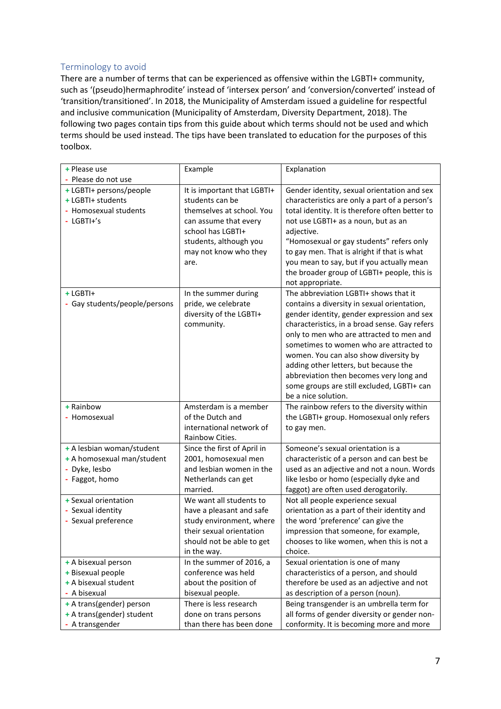# <span id="page-6-0"></span>Terminology to avoid

There are a number of terms that can be experienced as offensive within the LGBTI+ community, such as '(pseudo)hermaphrodite' instead of 'intersex person' and 'conversion/converted' instead of 'transition/transitioned'. In 2018, the Municipality of Amsterdam issued a guideline for respectful and inclusive communication (Municipality of Amsterdam, Diversity Department, 2018). The following two pages contain tips from this guide about which terms should not be used and which terms should be used instead. The tips have been translated to education for the purposes of this toolbox.

| + Please use                  | Example                                     | Explanation                                                                               |
|-------------------------------|---------------------------------------------|-------------------------------------------------------------------------------------------|
| - Please do not use           |                                             |                                                                                           |
| + LGBTI+ persons/people       | It is important that LGBTI+                 | Gender identity, sexual orientation and sex                                               |
| + LGBTI+ students             | students can be                             | characteristics are only a part of a person's                                             |
| - Homosexual students         | themselves at school. You                   | total identity. It is therefore often better to                                           |
| - LGBTI+'s                    | can assume that every                       | not use LGBTI+ as a noun, but as an                                                       |
|                               | school has LGBTI+                           | adjective.                                                                                |
|                               | students, although you                      | "Homosexual or gay students" refers only                                                  |
|                               | may not know who they                       | to gay men. That is alright if that is what                                               |
|                               | are.                                        | you mean to say, but if you actually mean                                                 |
|                               |                                             | the broader group of LGBTI+ people, this is                                               |
|                               |                                             | not appropriate.                                                                          |
| + LGBTI+                      | In the summer during<br>pride, we celebrate | The abbreviation LGBTI+ shows that it                                                     |
| - Gay students/people/persons | diversity of the LGBTI+                     | contains a diversity in sexual orientation,<br>gender identity, gender expression and sex |
|                               | community.                                  | characteristics, in a broad sense. Gay refers                                             |
|                               |                                             | only to men who are attracted to men and                                                  |
|                               |                                             | sometimes to women who are attracted to                                                   |
|                               |                                             | women. You can also show diversity by                                                     |
|                               |                                             | adding other letters, but because the                                                     |
|                               |                                             | abbreviation then becomes very long and                                                   |
|                               |                                             | some groups are still excluded, LGBTI+ can                                                |
|                               |                                             | be a nice solution.                                                                       |
| + Rainbow                     | Amsterdam is a member                       | The rainbow refers to the diversity within                                                |
| - Homosexual                  | of the Dutch and                            | the LGBTI+ group. Homosexual only refers                                                  |
|                               | international network of                    | to gay men.                                                                               |
|                               | Rainbow Cities.                             |                                                                                           |
| + A lesbian woman/student     | Since the first of April in                 | Someone's sexual orientation is a                                                         |
| + A homosexual man/student    | 2001, homosexual men                        | characteristic of a person and can best be                                                |
| - Dyke, lesbo                 | and lesbian women in the                    | used as an adjective and not a noun. Words                                                |
| - Faggot, homo                | Netherlands can get<br>married.             | like lesbo or homo (especially dyke and<br>faggot) are often used derogatorily.           |
| + Sexual orientation          | We want all students to                     | Not all people experience sexual                                                          |
| - Sexual identity             | have a pleasant and safe                    | orientation as a part of their identity and                                               |
| - Sexual preference           | study environment, where                    | the word 'preference' can give the                                                        |
|                               | their sexual orientation                    | impression that someone, for example,                                                     |
|                               | should not be able to get                   | chooses to like women, when this is not a                                                 |
|                               | in the way.                                 | choice.                                                                                   |
| + A bisexual person           | In the summer of 2016, a                    | Sexual orientation is one of many                                                         |
| + Bisexual people             | conference was held                         | characteristics of a person, and should                                                   |
| + A bisexual student          | about the position of                       | therefore be used as an adjective and not                                                 |
| - A bisexual                  | bisexual people.                            | as description of a person (noun).                                                        |
| + A trans(gender) person      | There is less research                      | Being transgender is an umbrella term for                                                 |
| + A trans(gender) student     | done on trans persons                       | all forms of gender diversity or gender non-                                              |
| - A transgender               | than there has been done                    | conformity. It is becoming more and more                                                  |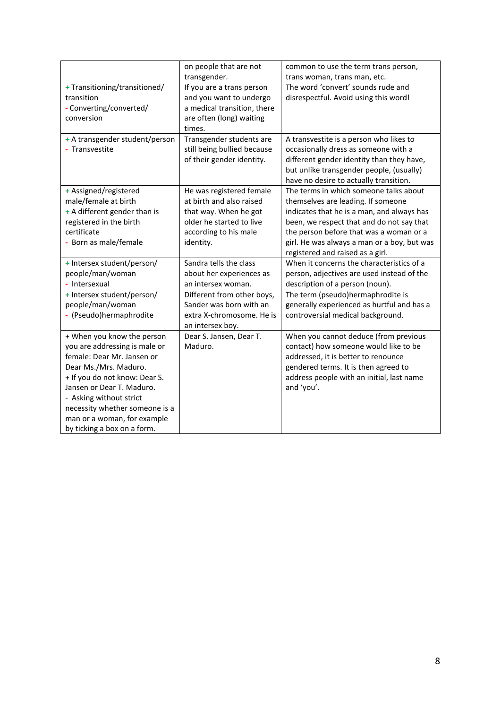|                                | on people that are not      | common to use the term trans person,        |
|--------------------------------|-----------------------------|---------------------------------------------|
|                                | transgender.                | trans woman, trans man, etc.                |
| + Transitioning/transitioned/  | If you are a trans person   | The word 'convert' sounds rude and          |
| transition                     | and you want to undergo     | disrespectful. Avoid using this word!       |
| - Converting/converted/        | a medical transition, there |                                             |
| conversion                     | are often (long) waiting    |                                             |
|                                | times.                      |                                             |
| + A transgender student/person | Transgender students are    | A transvestite is a person who likes to     |
| - Transvestite                 | still being bullied because | occasionally dress as someone with a        |
|                                | of their gender identity.   | different gender identity than they have,   |
|                                |                             | but unlike transgender people, (usually)    |
|                                |                             | have no desire to actually transition.      |
| + Assigned/registered          | He was registered female    | The terms in which someone talks about      |
| male/female at birth           | at birth and also raised    | themselves are leading. If someone          |
| + A different gender than is   | that way. When he got       | indicates that he is a man, and always has  |
| registered in the birth        | older he started to live    | been, we respect that and do not say that   |
| certificate                    | according to his male       | the person before that was a woman or a     |
| - Born as male/female          | identity.                   | girl. He was always a man or a boy, but was |
|                                |                             | registered and raised as a girl.            |
| + Intersex student/person/     | Sandra tells the class      | When it concerns the characteristics of a   |
| people/man/woman               | about her experiences as    | person, adjectives are used instead of the  |
| - Intersexual                  | an intersex woman.          | description of a person (noun).             |
| + Intersex student/person/     | Different from other boys,  | The term (pseudo)hermaphrodite is           |
| people/man/woman               | Sander was born with an     | generally experienced as hurtful and has a  |
| - (Pseudo)hermaphrodite        | extra X-chromosome. He is   | controversial medical background.           |
|                                | an intersex boy.            |                                             |
| + When you know the person     | Dear S. Jansen, Dear T.     | When you cannot deduce (from previous       |
| you are addressing is male or  | Maduro.                     | contact) how someone would like to be       |
| female: Dear Mr. Jansen or     |                             | addressed, it is better to renounce         |
| Dear Ms./Mrs. Maduro.          |                             | gendered terms. It is then agreed to        |
| + If you do not know: Dear S.  |                             | address people with an initial, last name   |
| Jansen or Dear T. Maduro.      |                             | and 'you'.                                  |
| - Asking without strict        |                             |                                             |
| necessity whether someone is a |                             |                                             |
| man or a woman, for example    |                             |                                             |
| by ticking a box on a form.    |                             |                                             |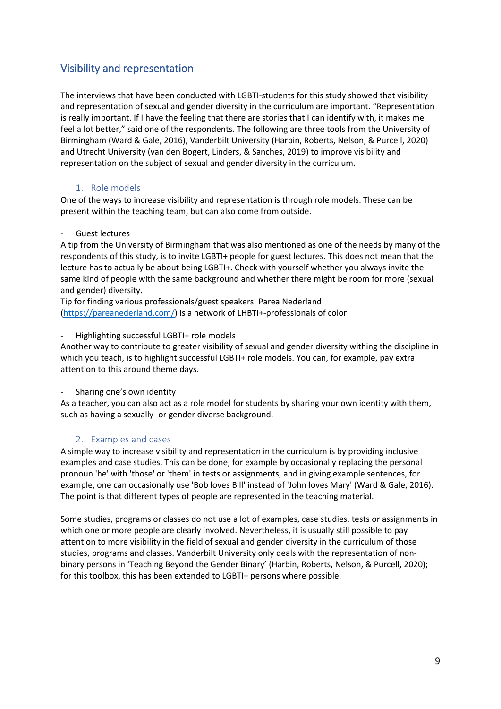# <span id="page-8-0"></span>Visibility and representation

The interviews that have been conducted with LGBTI-students for this study showed that visibility and representation of sexual and gender diversity in the curriculum are important. "Representation is really important. If I have the feeling that there are stories that I can identify with, it makes me feel a lot better," said one of the respondents. The following are three tools from the University of Birmingham (Ward & Gale, 2016), Vanderbilt University (Harbin, Roberts, Nelson, & Purcell, 2020) and Utrecht University (van den Bogert, Linders, & Sanches, 2019) to improve visibility and representation on the subject of sexual and gender diversity in the curriculum.

# 1. Role models

<span id="page-8-1"></span>One of the ways to increase visibility and representation is through role models. These can be present within the teaching team, but can also come from outside.

# Guest lectures

A tip from the University of Birmingham that was also mentioned as one of the needs by many of the respondents of this study, is to invite LGBTI+ people for guest lectures. This does not mean that the lecture has to actually be about being LGBTI+. Check with yourself whether you always invite the same kind of people with the same background and whether there might be room for more (sexual and gender) diversity.

Tip for finding various professionals/guest speakers: Parea Nederland [\(https://pareanederland.com/\)](about:blank) is a network of LHBTI+-professionals of color.

### - Highlighting successful LGBTI+ role models

Another way to contribute to greater visibility of sexual and gender diversity withing the discipline in which you teach, is to highlight successful LGBTI+ role models. You can, for example, pay extra attention to this around theme days.

# Sharing one's own identity

As a teacher, you can also act as a role model for students by sharing your own identity with them, such as having a sexually- or gender diverse background.

# 2. Examples and cases

<span id="page-8-2"></span>A simple way to increase visibility and representation in the curriculum is by providing inclusive examples and case studies. This can be done, for example by occasionally replacing the personal pronoun 'he' with 'those' or 'them' in tests or assignments, and in giving example sentences, for example, one can occasionally use 'Bob loves Bill' instead of 'John loves Mary' (Ward & Gale, 2016). The point is that different types of people are represented in the teaching material.

Some studies, programs or classes do not use a lot of examples, case studies, tests or assignments in which one or more people are clearly involved. Nevertheless, it is usually still possible to pay attention to more visibility in the field of sexual and gender diversity in the curriculum of those studies, programs and classes. Vanderbilt University only deals with the representation of nonbinary persons in 'Teaching Beyond the Gender Binary' (Harbin, Roberts, Nelson, & Purcell, 2020); for this toolbox, this has been extended to LGBTI+ persons where possible.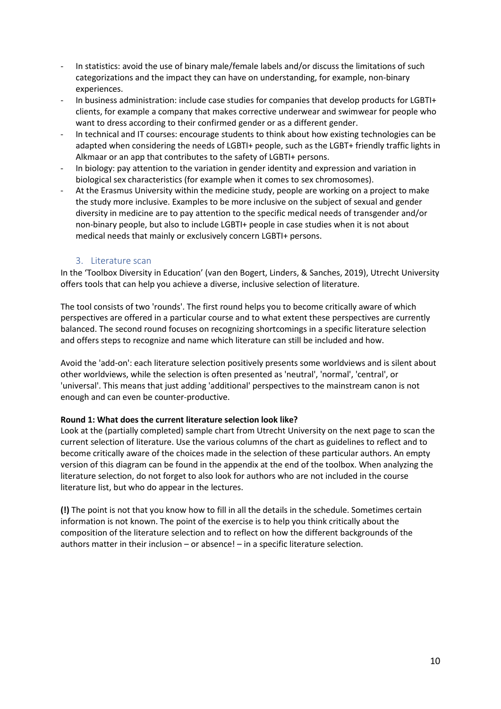- In statistics: avoid the use of binary male/female labels and/or discuss the limitations of such categorizations and the impact they can have on understanding, for example, non-binary experiences.
- In business administration: include case studies for companies that develop products for LGBTI+ clients, for example a company that makes corrective underwear and swimwear for people who want to dress according to their confirmed gender or as a different gender.
- In technical and IT courses: encourage students to think about how existing technologies can be adapted when considering the needs of LGBTI+ people, such as the LGBT+ friendly traffic lights in Alkmaar or an app that contributes to the safety of LGBTI+ persons.
- In biology: pay attention to the variation in gender identity and expression and variation in biological sex characteristics (for example when it comes to sex chromosomes).
- At the Erasmus University within the medicine study, people are working on a project to make the study more inclusive. Examples to be more inclusive on the subject of sexual and gender diversity in medicine are to pay attention to the specific medical needs of transgender and/or non-binary people, but also to include LGBTI+ people in case studies when it is not about medical needs that mainly or exclusively concern LGBTI+ persons.

# 3. Literature scan

<span id="page-9-0"></span>In the 'Toolbox Diversity in Education' (van den Bogert, Linders, & Sanches, 2019), Utrecht University offers tools that can help you achieve a diverse, inclusive selection of literature.

The tool consists of two 'rounds'. The first round helps you to become critically aware of which perspectives are offered in a particular course and to what extent these perspectives are currently balanced. The second round focuses on recognizing shortcomings in a specific literature selection and offers steps to recognize and name which literature can still be included and how.

Avoid the 'add-on': each literature selection positively presents some worldviews and is silent about other worldviews, while the selection is often presented as 'neutral', 'normal', 'central', or 'universal'. This means that just adding 'additional' perspectives to the mainstream canon is not enough and can even be counter-productive.

# **Round 1: What does the current literature selection look like?**

Look at the (partially completed) sample chart from Utrecht University on the next page to scan the current selection of literature. Use the various columns of the chart as guidelines to reflect and to become critically aware of the choices made in the selection of these particular authors. An empty version of this diagram can be found in the appendix at the end of the toolbox. When analyzing the literature selection, do not forget to also look for authors who are not included in the course literature list, but who do appear in the lectures.

**(!)** The point is not that you know how to fill in all the details in the schedule. Sometimes certain information is not known. The point of the exercise is to help you think critically about the composition of the literature selection and to reflect on how the different backgrounds of the authors matter in their inclusion – or absence! – in a specific literature selection.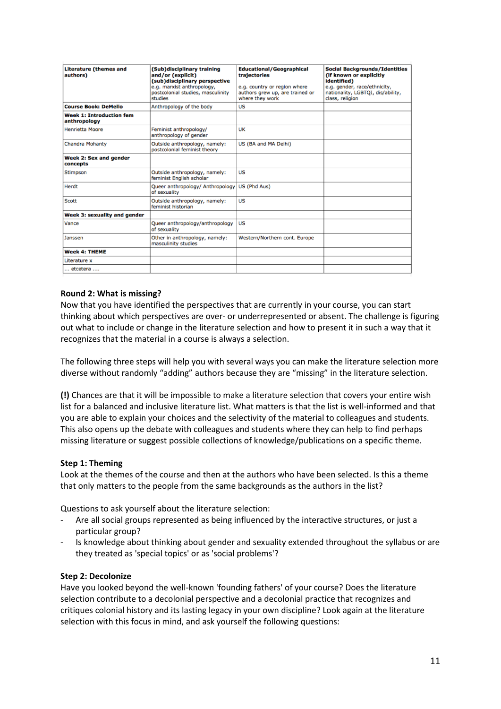| (Sub)disciplinary training<br>and/or (explicit)<br>(sub)disciplinary perspective<br>e.g. marxist anthropology,<br>postcolonial studies, masculinity<br>studies | <b>Educational/Geographical</b><br>trajectories<br>e.g. country or region where<br>authors grew up, are trained or<br>where they work | <b>Social Backgrounds/Identities</b><br>(if known or explicitly<br>identified)<br>e.g. gender, race/ethnicity,<br>nationality, LGBTQI, dis/ability,<br>class, religion |
|----------------------------------------------------------------------------------------------------------------------------------------------------------------|---------------------------------------------------------------------------------------------------------------------------------------|------------------------------------------------------------------------------------------------------------------------------------------------------------------------|
| Anthropology of the body                                                                                                                                       | US                                                                                                                                    |                                                                                                                                                                        |
|                                                                                                                                                                |                                                                                                                                       |                                                                                                                                                                        |
| Feminist anthropology/<br>anthropology of gender                                                                                                               | UK                                                                                                                                    |                                                                                                                                                                        |
| Outside anthropology, namely:<br>postcolonial feminist theory                                                                                                  | US (BA and MA Delhi)                                                                                                                  |                                                                                                                                                                        |
|                                                                                                                                                                |                                                                                                                                       |                                                                                                                                                                        |
| Outside anthropology, namely:<br>feminist English scholar                                                                                                      | US                                                                                                                                    |                                                                                                                                                                        |
| Queer anthropology/ Anthropology<br>of sexuality                                                                                                               | US (Phd Aus)                                                                                                                          |                                                                                                                                                                        |
| Outside anthropology, namely:<br>feminist historian                                                                                                            | US                                                                                                                                    |                                                                                                                                                                        |
|                                                                                                                                                                |                                                                                                                                       |                                                                                                                                                                        |
| Queer anthropology/anthropology<br>of sexuality                                                                                                                | US                                                                                                                                    |                                                                                                                                                                        |
| Other in anthropology, namely:<br>masculinity studies                                                                                                          | Western/Northern cont. Europe                                                                                                         |                                                                                                                                                                        |
|                                                                                                                                                                |                                                                                                                                       |                                                                                                                                                                        |
|                                                                                                                                                                |                                                                                                                                       |                                                                                                                                                                        |
|                                                                                                                                                                |                                                                                                                                       |                                                                                                                                                                        |
|                                                                                                                                                                |                                                                                                                                       |                                                                                                                                                                        |

# **Round 2: What is missing?**

Now that you have identified the perspectives that are currently in your course, you can start thinking about which perspectives are over- or underrepresented or absent. The challenge is figuring out what to include or change in the literature selection and how to present it in such a way that it recognizes that the material in a course is always a selection.

The following three steps will help you with several ways you can make the literature selection more diverse without randomly "adding" authors because they are "missing" in the literature selection.

**(!)** Chances are that it will be impossible to make a literature selection that covers your entire wish list for a balanced and inclusive literature list. What matters is that the list is well-informed and that you are able to explain your choices and the selectivity of the material to colleagues and students. This also opens up the debate with colleagues and students where they can help to find perhaps missing literature or suggest possible collections of knowledge/publications on a specific theme.

# **Step 1: Theming**

Look at the themes of the course and then at the authors who have been selected. Is this a theme that only matters to the people from the same backgrounds as the authors in the list?

Questions to ask yourself about the literature selection:

- Are all social groups represented as being influenced by the interactive structures, or just a particular group?
- Is knowledge about thinking about gender and sexuality extended throughout the syllabus or are they treated as 'special topics' or as 'social problems'?

#### **Step 2: Decolonize**

Have you looked beyond the well-known 'founding fathers' of your course? Does the literature selection contribute to a decolonial perspective and a decolonial practice that recognizes and critiques colonial history and its lasting legacy in your own discipline? Look again at the literature selection with this focus in mind, and ask yourself the following questions: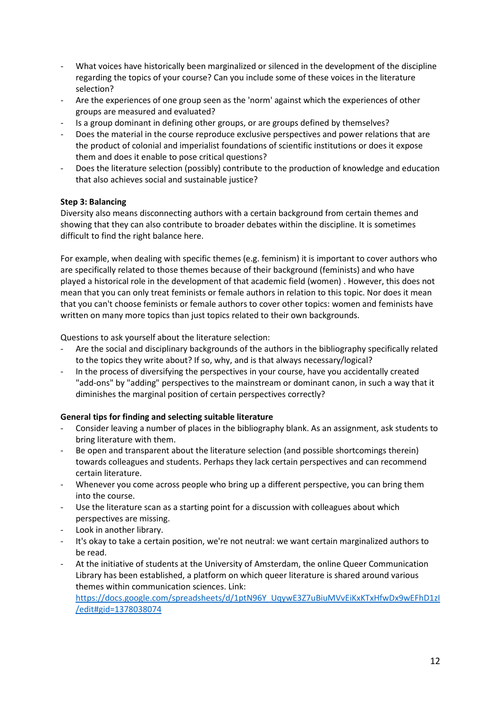- What voices have historically been marginalized or silenced in the development of the discipline regarding the topics of your course? Can you include some of these voices in the literature selection?
- Are the experiences of one group seen as the 'norm' against which the experiences of other groups are measured and evaluated?
- Is a group dominant in defining other groups, or are groups defined by themselves?
- Does the material in the course reproduce exclusive perspectives and power relations that are the product of colonial and imperialist foundations of scientific institutions or does it expose them and does it enable to pose critical questions?
- Does the literature selection (possibly) contribute to the production of knowledge and education that also achieves social and sustainable justice?

# **Step 3: Balancing**

Diversity also means disconnecting authors with a certain background from certain themes and showing that they can also contribute to broader debates within the discipline. It is sometimes difficult to find the right balance here.

For example, when dealing with specific themes (e.g. feminism) it is important to cover authors who are specifically related to those themes because of their background (feminists) and who have played a historical role in the development of that academic field (women) . However, this does not mean that you can only treat feminists or female authors in relation to this topic. Nor does it mean that you can't choose feminists or female authors to cover other topics: women and feminists have written on many more topics than just topics related to their own backgrounds.

Questions to ask yourself about the literature selection:

- Are the social and disciplinary backgrounds of the authors in the bibliography specifically related to the topics they write about? If so, why, and is that always necessary/logical?
- In the process of diversifying the perspectives in your course, have you accidentally created "add-ons" by "adding" perspectives to the mainstream or dominant canon, in such a way that it diminishes the marginal position of certain perspectives correctly?

# **General tips for finding and selecting suitable literature**

- Consider leaving a number of places in the bibliography blank. As an assignment, ask students to bring literature with them.
- Be open and transparent about the literature selection (and possible shortcomings therein) towards colleagues and students. Perhaps they lack certain perspectives and can recommend certain literature.
- Whenever you come across people who bring up a different perspective, you can bring them into the course.
- Use the literature scan as a starting point for a discussion with colleagues about which perspectives are missing.
- Look in another library.
- It's okay to take a certain position, we're not neutral: we want certain marginalized authors to be read.
- At the initiative of students at the University of Amsterdam, the online Queer Communication Library has been established, a platform on which queer literature is shared around various themes within communication sciences. Link: [https://docs.google.com/spreadsheets/d/1ptN96Y\\_UqywE3Z7uBiuMVvEiKxKTxHfwDx9wEFhD1zI](about:blank#gid=1378038074) [/edit#gid=1378038074](about:blank#gid=1378038074)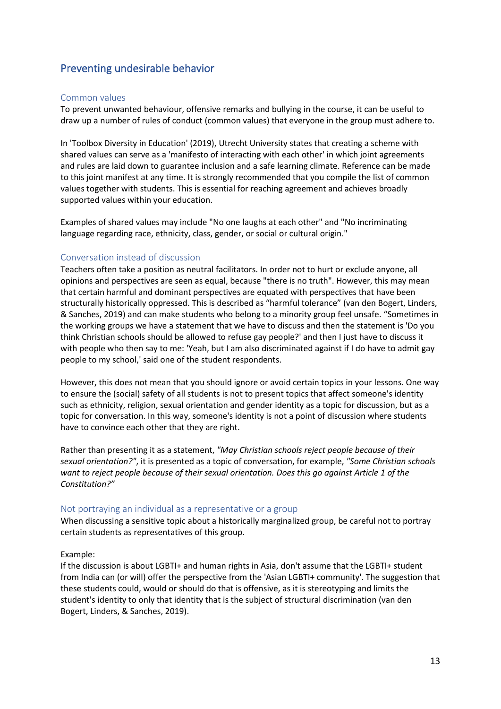# <span id="page-12-0"></span>Preventing undesirable behavior

### <span id="page-12-1"></span>Common values

To prevent unwanted behaviour, offensive remarks and bullying in the course, it can be useful to draw up a number of rules of conduct (common values) that everyone in the group must adhere to.

In 'Toolbox Diversity in Education' (2019), Utrecht University states that creating a scheme with shared values can serve as a 'manifesto of interacting with each other' in which joint agreements and rules are laid down to guarantee inclusion and a safe learning climate. Reference can be made to this joint manifest at any time. It is strongly recommended that you compile the list of common values together with students. This is essential for reaching agreement and achieves broadly supported values within your education.

Examples of shared values may include "No one laughs at each other" and "No incriminating language regarding race, ethnicity, class, gender, or social or cultural origin."

### <span id="page-12-2"></span>Conversation instead of discussion

Teachers often take a position as neutral facilitators. In order not to hurt or exclude anyone, all opinions and perspectives are seen as equal, because "there is no truth". However, this may mean that certain harmful and dominant perspectives are equated with perspectives that have been structurally historically oppressed. This is described as "harmful tolerance" (van den Bogert, Linders, & Sanches, 2019) and can make students who belong to a minority group feel unsafe. "Sometimes in the working groups we have a statement that we have to discuss and then the statement is 'Do you think Christian schools should be allowed to refuse gay people?' and then I just have to discuss it with people who then say to me: 'Yeah, but I am also discriminated against if I do have to admit gay people to my school,' said one of the student respondents.

However, this does not mean that you should ignore or avoid certain topics in your lessons. One way to ensure the (social) safety of all students is not to present topics that affect someone's identity such as ethnicity, religion, sexual orientation and gender identity as a topic for discussion, but as a topic for conversation. In this way, someone's identity is not a point of discussion where students have to convince each other that they are right.

Rather than presenting it as a statement, *"May Christian schools reject people because of their sexual orientation?"*, it is presented as a topic of conversation, for example, *"Some Christian schools want to reject people because of their sexual orientation. Does this go against Article 1 of the Constitution?"*

#### <span id="page-12-3"></span>Not portraying an individual as a representative or a group

When discussing a sensitive topic about a historically marginalized group, be careful not to portray certain students as representatives of this group.

#### Example:

<span id="page-12-4"></span>If the discussion is about LGBTI+ and human rights in Asia, don't assume that the LGBTI+ student from India can (or will) offer the perspective from the 'Asian LGBTI+ community'. The suggestion that these students could, would or should do that is offensive, as it is stereotyping and limits the student's identity to only that identity that is the subject of structural discrimination (van den Bogert, Linders, & Sanches, 2019).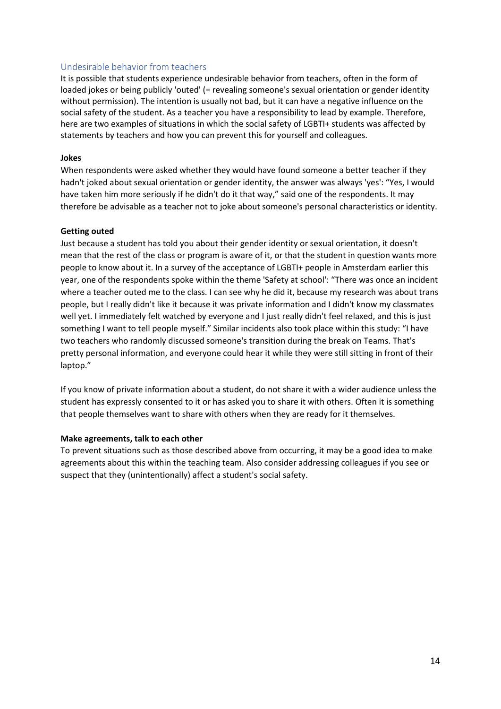### Undesirable behavior from teachers

It is possible that students experience undesirable behavior from teachers, often in the form of loaded jokes or being publicly 'outed' (= revealing someone's sexual orientation or gender identity without permission). The intention is usually not bad, but it can have a negative influence on the social safety of the student. As a teacher you have a responsibility to lead by example. Therefore, here are two examples of situations in which the social safety of LGBTI+ students was affected by statements by teachers and how you can prevent this for yourself and colleagues.

#### **Jokes**

When respondents were asked whether they would have found someone a better teacher if they hadn't joked about sexual orientation or gender identity, the answer was always 'yes': "Yes, I would have taken him more seriously if he didn't do it that way," said one of the respondents. It may therefore be advisable as a teacher not to joke about someone's personal characteristics or identity.

#### **Getting outed**

Just because a student has told you about their gender identity or sexual orientation, it doesn't mean that the rest of the class or program is aware of it, or that the student in question wants more people to know about it. In a survey of the acceptance of LGBTI+ people in Amsterdam earlier this year, one of the respondents spoke within the theme 'Safety at school': "There was once an incident where a teacher outed me to the class. I can see why he did it, because my research was about trans people, but I really didn't like it because it was private information and I didn't know my classmates well yet. I immediately felt watched by everyone and I just really didn't feel relaxed, and this is just something I want to tell people myself." Similar incidents also took place within this study: "I have two teachers who randomly discussed someone's transition during the break on Teams. That's pretty personal information, and everyone could hear it while they were still sitting in front of their laptop."

If you know of private information about a student, do not share it with a wider audience unless the student has expressly consented to it or has asked you to share it with others. Often it is something that people themselves want to share with others when they are ready for it themselves.

#### **Make agreements, talk to each other**

To prevent situations such as those described above from occurring, it may be a good idea to make agreements about this within the teaching team. Also consider addressing colleagues if you see or suspect that they (unintentionally) affect a student's social safety.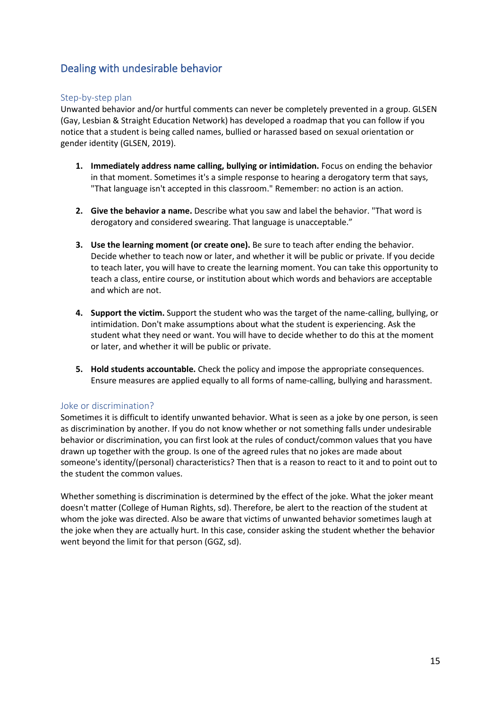# <span id="page-14-0"></span>Dealing with undesirable behavior

### <span id="page-14-1"></span>Step-by-step plan

Unwanted behavior and/or hurtful comments can never be completely prevented in a group. GLSEN (Gay, Lesbian & Straight Education Network) has developed a roadmap that you can follow if you notice that a student is being called names, bullied or harassed based on sexual orientation or gender identity (GLSEN, 2019).

- **1. Immediately address name calling, bullying or intimidation.** Focus on ending the behavior in that moment. Sometimes it's a simple response to hearing a derogatory term that says, "That language isn't accepted in this classroom." Remember: no action is an action.
- **2. Give the behavior a name.** Describe what you saw and label the behavior. "That word is derogatory and considered swearing. That language is unacceptable."
- **3. Use the learning moment (or create one).** Be sure to teach after ending the behavior. Decide whether to teach now or later, and whether it will be public or private. If you decide to teach later, you will have to create the learning moment. You can take this opportunity to teach a class, entire course, or institution about which words and behaviors are acceptable and which are not.
- **4. Support the victim.** Support the student who was the target of the name-calling, bullying, or intimidation. Don't make assumptions about what the student is experiencing. Ask the student what they need or want. You will have to decide whether to do this at the moment or later, and whether it will be public or private.
- **5. Hold students accountable.** Check the policy and impose the appropriate consequences. Ensure measures are applied equally to all forms of name-calling, bullying and harassment.

#### <span id="page-14-2"></span>Joke or discrimination?

Sometimes it is difficult to identify unwanted behavior. What is seen as a joke by one person, is seen as discrimination by another. If you do not know whether or not something falls under undesirable behavior or discrimination, you can first look at the rules of conduct/common values that you have drawn up together with the group. Is one of the agreed rules that no jokes are made about someone's identity/(personal) characteristics? Then that is a reason to react to it and to point out to the student the common values.

Whether something is discrimination is determined by the effect of the joke. What the joker meant doesn't matter (College of Human Rights, sd). Therefore, be alert to the reaction of the student at whom the joke was directed. Also be aware that victims of unwanted behavior sometimes laugh at the joke when they are actually hurt. In this case, consider asking the student whether the behavior went beyond the limit for that person (GGZ, sd).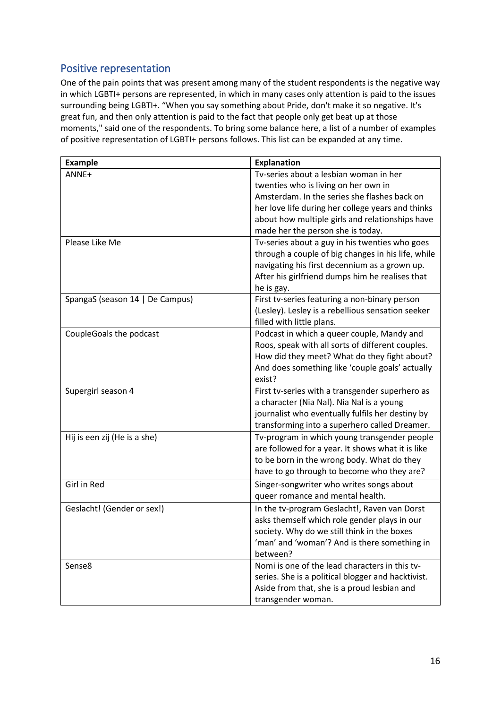# <span id="page-15-0"></span>Positive representation

One of the pain points that was present among many of the student respondents is the negative way in which LGBTI+ persons are represented, in which in many cases only attention is paid to the issues surrounding being LGBTI+. "When you say something about Pride, don't make it so negative. It's great fun, and then only attention is paid to the fact that people only get beat up at those moments," said one of the respondents. To bring some balance here, a list of a number of examples of positive representation of LGBTI+ persons follows. This list can be expanded at any time.

| <b>Example</b>                  | <b>Explanation</b>                                                                                                                                                                                                                                                          |
|---------------------------------|-----------------------------------------------------------------------------------------------------------------------------------------------------------------------------------------------------------------------------------------------------------------------------|
| ANNE+                           | Tv-series about a lesbian woman in her<br>twenties who is living on her own in<br>Amsterdam. In the series she flashes back on<br>her love life during her college years and thinks<br>about how multiple girls and relationships have<br>made her the person she is today. |
| Please Like Me                  | Tv-series about a guy in his twenties who goes<br>through a couple of big changes in his life, while<br>navigating his first decennium as a grown up.<br>After his girlfriend dumps him he realises that<br>he is gay.                                                      |
| SpangaS (season 14   De Campus) | First tv-series featuring a non-binary person<br>(Lesley). Lesley is a rebellious sensation seeker<br>filled with little plans.                                                                                                                                             |
| CoupleGoals the podcast         | Podcast in which a queer couple, Mandy and<br>Roos, speak with all sorts of different couples.<br>How did they meet? What do they fight about?<br>And does something like 'couple goals' actually<br>exist?                                                                 |
| Supergirl season 4              | First tv-series with a transgender superhero as<br>a character (Nia Nal). Nia Nal is a young<br>journalist who eventually fulfils her destiny by<br>transforming into a superhero called Dreamer.                                                                           |
| Hij is een zij (He is a she)    | Tv-program in which young transgender people<br>are followed for a year. It shows what it is like<br>to be born in the wrong body. What do they<br>have to go through to become who they are?                                                                               |
| Girl in Red                     | Singer-songwriter who writes songs about<br>queer romance and mental health.                                                                                                                                                                                                |
| Geslacht! (Gender or sex!)      | In the tv-program Geslacht!, Raven van Dorst<br>asks themself which role gender plays in our<br>society. Why do we still think in the boxes<br>'man' and 'woman'? And is there something in<br>between?                                                                     |
| Sense8                          | Nomi is one of the lead characters in this tv-<br>series. She is a political blogger and hacktivist.<br>Aside from that, she is a proud lesbian and<br>transgender woman.                                                                                                   |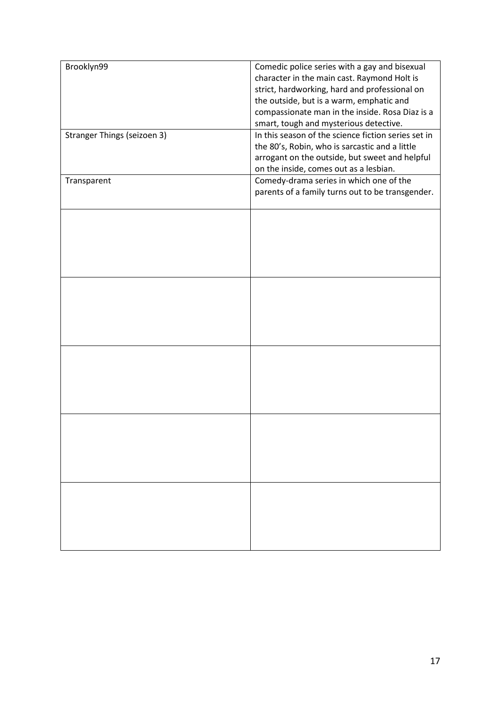| Brooklyn99                  | Comedic police series with a gay and bisexual<br>character in the main cast. Raymond Holt is<br>strict, hardworking, hard and professional on<br>the outside, but is a warm, emphatic and<br>compassionate man in the inside. Rosa Diaz is a<br>smart, tough and mysterious detective. |
|-----------------------------|----------------------------------------------------------------------------------------------------------------------------------------------------------------------------------------------------------------------------------------------------------------------------------------|
| Stranger Things (seizoen 3) | In this season of the science fiction series set in<br>the 80's, Robin, who is sarcastic and a little<br>arrogant on the outside, but sweet and helpful<br>on the inside, comes out as a lesbian.                                                                                      |
| Transparent                 | Comedy-drama series in which one of the<br>parents of a family turns out to be transgender.                                                                                                                                                                                            |
|                             |                                                                                                                                                                                                                                                                                        |
|                             |                                                                                                                                                                                                                                                                                        |
|                             |                                                                                                                                                                                                                                                                                        |
|                             |                                                                                                                                                                                                                                                                                        |
|                             |                                                                                                                                                                                                                                                                                        |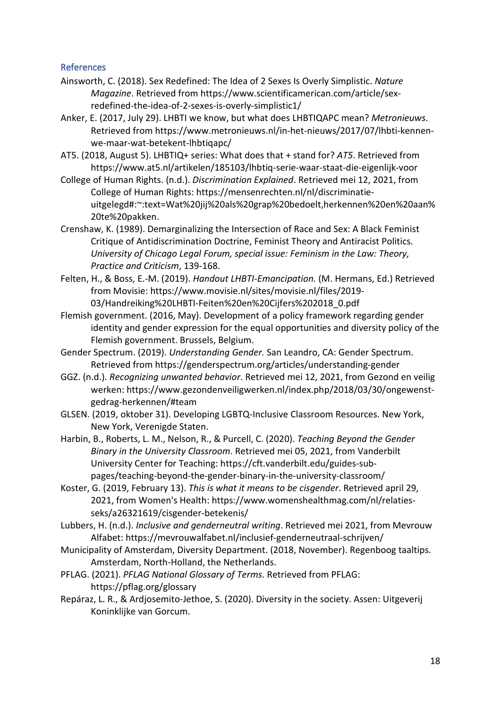# <span id="page-17-0"></span>References

- Ainsworth, C. (2018). Sex Redefined: The Idea of 2 Sexes Is Overly Simplistic. *Nature Magazine*. Retrieved from https://www.scientificamerican.com/article/sexredefined-the-idea-of-2-sexes-is-overly-simplistic1/
- Anker, E. (2017, July 29). LHBTI we know, but what does LHBTIQAPC mean? *Metronieuws*. Retrieved from https://www.metronieuws.nl/in-het-nieuws/2017/07/lhbti-kennenwe-maar-wat-betekent-lhbtiqapc/
- AT5. (2018, August 5). LHBTIQ+ series: What does that + stand for? *AT5*. Retrieved from https://www.at5.nl/artikelen/185103/lhbtiq-serie-waar-staat-die-eigenlijk-voor
- College of Human Rights. (n.d.). *Discrimination Explained*. Retrieved mei 12, 2021, from College of Human Rights: https://mensenrechten.nl/nl/discriminatieuitgelegd#:~:text=Wat%20jij%20als%20grap%20bedoelt,herkennen%20en%20aan% 20te%20pakken.
- Crenshaw, K. (1989). Demarginalizing the Intersection of Race and Sex: A Black Feminist Critique of Antidiscrimination Doctrine, Feminist Theory and Antiracist Politics. *University of Chicago Legal Forum, special issue: Feminism in the Law: Theory, Practice and Criticism*, 139-168.
- Felten, H., & Boss, E.-M. (2019). *Handout LHBTI-Emancipation.* (M. Hermans, Ed.) Retrieved from Movisie: https://www.movisie.nl/sites/movisie.nl/files/2019- 03/Handreiking%20LHBTI-Feiten%20en%20Cijfers%202018\_0.pdf
- Flemish government. (2016, May). Development of a policy framework regarding gender identity and gender expression for the equal opportunities and diversity policy of the Flemish government. Brussels, Belgium.
- Gender Spectrum. (2019). *Understanding Gender.* San Leandro, CA: Gender Spectrum. Retrieved from https://genderspectrum.org/articles/understanding-gender
- GGZ. (n.d.). *Recognizing unwanted behavior*. Retrieved mei 12, 2021, from Gezond en veilig werken: https://www.gezondenveiligwerken.nl/index.php/2018/03/30/ongewenstgedrag-herkennen/#team
- GLSEN. (2019, oktober 31). Developing LGBTQ-Inclusive Classroom Resources. New York, New York, Verenigde Staten.
- Harbin, B., Roberts, L. M., Nelson, R., & Purcell, C. (2020). *Teaching Beyond the Gender Binary in the University Classroom*. Retrieved mei 05, 2021, from Vanderbilt University Center for Teaching: https://cft.vanderbilt.edu/guides-subpages/teaching-beyond-the-gender-binary-in-the-university-classroom/
- Koster, G. (2019, February 13). *This is what it means to be cisgender*. Retrieved april 29, 2021, from Women's Health: https://www.womenshealthmag.com/nl/relatiesseks/a26321619/cisgender-betekenis/
- Lubbers, H. (n.d.). *Inclusive and genderneutral writing*. Retrieved mei 2021, from Mevrouw Alfabet: https://mevrouwalfabet.nl/inclusief-genderneutraal-schrijven/
- Municipality of Amsterdam, Diversity Department. (2018, November). Regenboog taaltips. Amsterdam, North-Holland, the Netherlands.
- PFLAG. (2021). *PFLAG National Glossary of Terms*. Retrieved from PFLAG: https://pflag.org/glossary
- Repáraz, L. R., & Ardjosemito-Jethoe, S. (2020). Diversity in the society. Assen: Uitgeverij Koninklijke van Gorcum.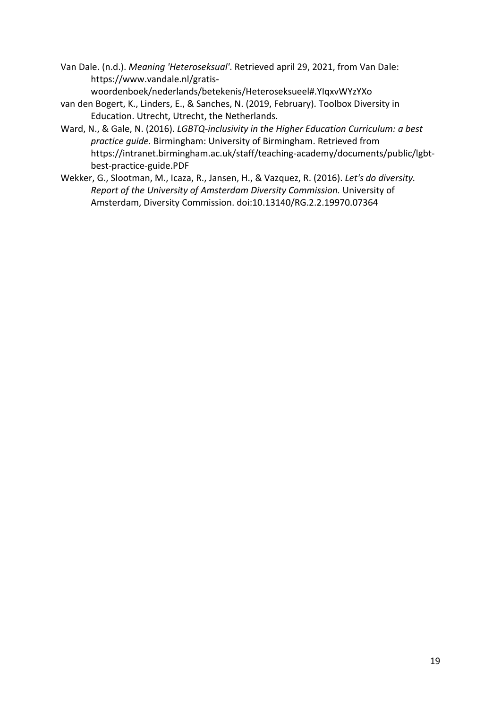- Van Dale. (n.d.). *Meaning 'Heteroseksual'*. Retrieved april 29, 2021, from Van Dale: https://www.vandale.nl/gratiswoordenboek/nederlands/betekenis/Heteroseksueel#.YIqxvWYzYXo
- van den Bogert, K., Linders, E., & Sanches, N. (2019, February). Toolbox Diversity in Education. Utrecht, Utrecht, the Netherlands.
- Ward, N., & Gale, N. (2016). *LGBTQ-inclusivity in the Higher Education Curriculum: a best practice guide.* Birmingham: University of Birmingham. Retrieved from https://intranet.birmingham.ac.uk/staff/teaching-academy/documents/public/lgbtbest-practice-guide.PDF
- <span id="page-18-0"></span>Wekker, G., Slootman, M., Icaza, R., Jansen, H., & Vazquez, R. (2016). *Let's do diversity. Report of the University of Amsterdam Diversity Commission.* University of Amsterdam, Diversity Commission. doi:10.13140/RG.2.2.19970.07364